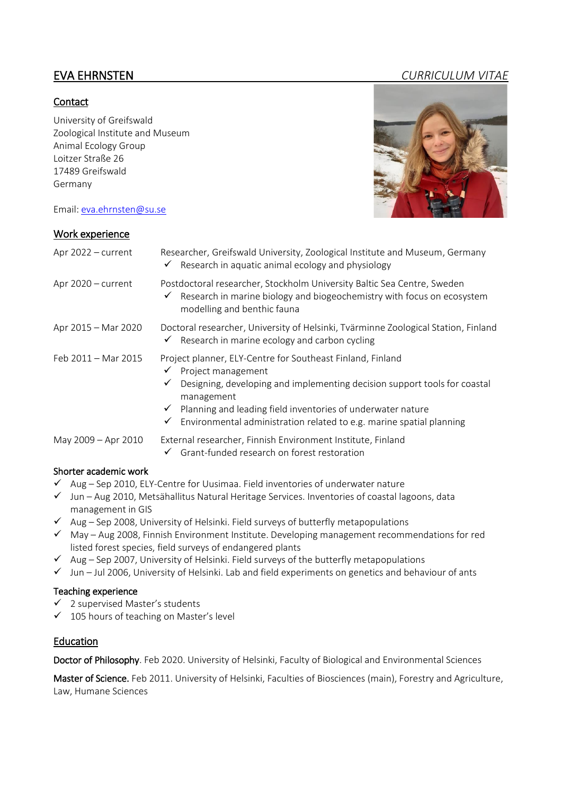# **Contact**

University of Greifswald Zoological Institute and Museum Animal Ecology Group Loitzer Straße 26 17489 Greifswald Germany

Email: [eva.ehrnsten@su.se](file:///C:/Users/evaeh/Documents/Byråkrati_o_annat/CV/eva.ehrnsten@su.se)

# Work experience

| Apr $2022$ – current | Researcher, Greifswald University, Zoological Institute and Museum, Germany<br>$\checkmark$ Research in aquatic animal ecology and physiology                                                                                                                                                                                   |
|----------------------|---------------------------------------------------------------------------------------------------------------------------------------------------------------------------------------------------------------------------------------------------------------------------------------------------------------------------------|
| Apr 2020 - current   | Postdoctoral researcher, Stockholm University Baltic Sea Centre, Sweden<br>$\checkmark$ Research in marine biology and biogeochemistry with focus on ecosystem<br>modelling and benthic fauna                                                                                                                                   |
| Apr 2015 – Mar 2020  | Doctoral researcher, University of Helsinki, Tvärminne Zoological Station, Finland<br>$\checkmark$ Research in marine ecology and carbon cycling                                                                                                                                                                                |
| Feb 2011 - Mar 2015  | Project planner, ELY-Centre for Southeast Finland, Finland<br>Project management<br>Designing, developing and implementing decision support tools for coastal<br>management<br>$\checkmark$ Planning and leading field inventories of underwater nature<br>Environmental administration related to e.g. marine spatial planning |
| May 2009 - Apr 2010  | External researcher, Finnish Environment Institute, Finland<br>Grant-funded research on forest restoration                                                                                                                                                                                                                      |

### Shorter academic work

- ✓ Aug Sep 2010, ELY-Centre for Uusimaa. Field inventories of underwater nature
- ✓ Jun Aug 2010, Metsähallitus Natural Heritage Services. Inventories of coastal lagoons, data management in GIS
- $\checkmark$  Aug Sep 2008, University of Helsinki. Field surveys of butterfly metapopulations
- ✓ May Aug 2008, Finnish Environment Institute. Developing management recommendations for red listed forest species, field surveys of endangered plants
- $\checkmark$  Aug Sep 2007, University of Helsinki. Field surveys of the butterfly metapopulations
- ✓ Jun Jul 2006, University of Helsinki. Lab and field experiments on genetics and behaviour of ants

### Teaching experience

- ✓ 2 supervised Master's students
- ✓ 105 hours of teaching on Master's level

# Education

Doctor of Philosophy. Feb 2020. University of Helsinki, Faculty of Biological and Environmental Sciences

Master of Science. Feb 2011. University of Helsinki, Faculties of Biosciences (main), Forestry and Agriculture, Law, Humane Sciences

# EVA EHRNSTEN *CURRICULUM VITAE*

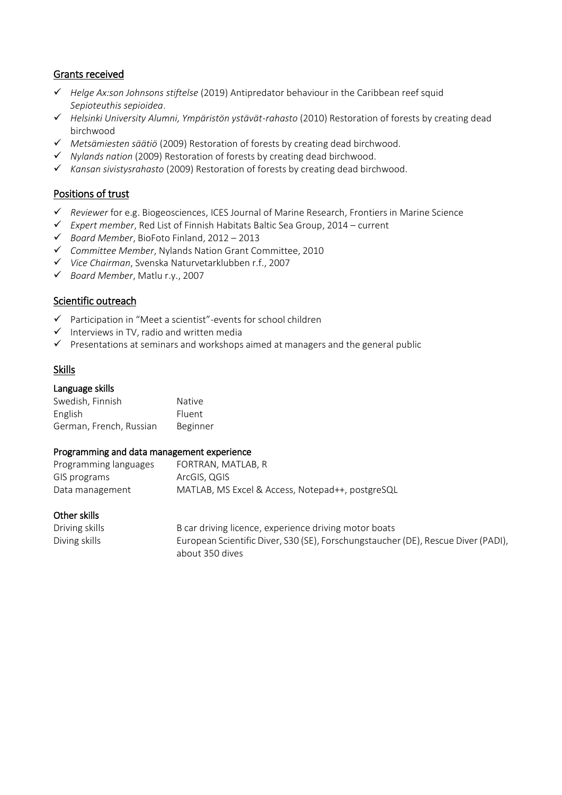# Grants received

- ✓ *Helge Ax:son Johnsons stiftelse* (2019) Antipredator behaviour in the Caribbean reef squid *Sepioteuthis sepioidea*.
- ✓ *Helsinki University Alumni, Ympäristön ystävät-rahasto* (2010) Restoration of forests by creating dead birchwood
- ✓ *Metsämiesten säätiö* (2009) Restoration of forests by creating dead birchwood.
- ✓ *Nylands nation* (2009) Restoration of forests by creating dead birchwood.
- ✓ *Kansan sivistysrahasto* (2009) Restoration of forests by creating dead birchwood.

# Positions of trust

- ✓ *Reviewer* for e.g. Biogeosciences, ICES Journal of Marine Research, Frontiers in Marine Science
- ✓ *Expert member*, Red List of Finnish Habitats Baltic Sea Group, 2014 current
- ✓ *Board Member*, BioFoto Finland, 2012 2013
- ✓ *Committee Member*, Nylands Nation Grant Committee, 2010
- ✓ *Vice Chairman*, Svenska Naturvetarklubben r.f., 2007
- ✓ *Board Member*, Matlu r.y., 2007

### Scientific outreach

- ✓ Participation in "Meet a scientist"-events for school children
- $\checkmark$  Interviews in TV, radio and written media
- $\checkmark$  Presentations at seminars and workshops aimed at managers and the general public

### Skills

#### Language skills

| Swedish, Finnish        | <b>Native</b> |
|-------------------------|---------------|
| English                 | <b>Fluent</b> |
| German, French, Russian | Beginner      |

#### Programming and data management experience

| Programming languages | FORTRAN, MATLAB, R                               |
|-----------------------|--------------------------------------------------|
| GIS programs          | ArcGIS, QGIS                                     |
| Data management       | MATLAB, MS Excel & Access, Notepad++, postgreSQL |

#### Other skills

| Driving skills | B car driving licence, experience driving motor boats                             |
|----------------|-----------------------------------------------------------------------------------|
| Diving skills  | European Scientific Diver, S30 (SE), Forschungstaucher (DE), Rescue Diver (PADI), |
|                | about 350 dives                                                                   |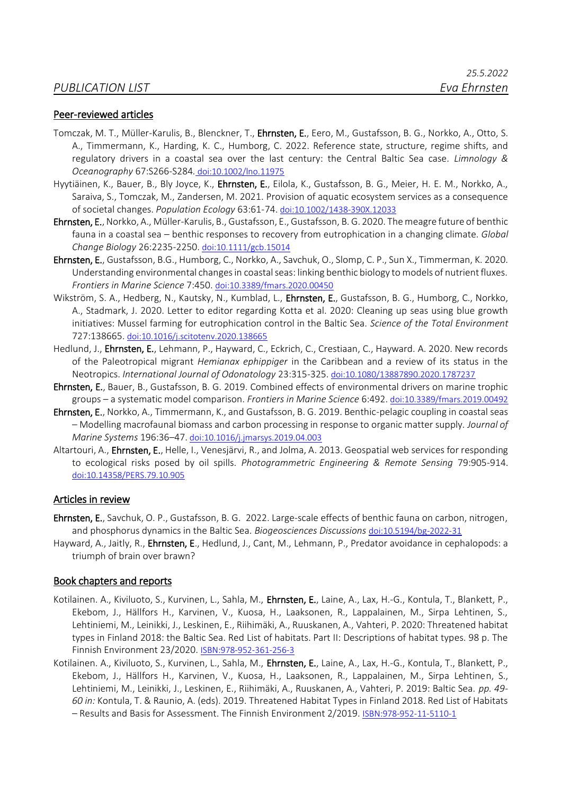#### Peer-reviewed articles

- Tomczak, M. T., Müller-Karulis, B., Blenckner, T., Ehrnsten, E., Eero, M., Gustafsson, B. G., Norkko, A., Otto, S. A., Timmermann, K., Harding, K. C., Humborg, C. 2022. Reference state, structure, regime shifts, and regulatory drivers in a coastal sea over the last century: the Central Baltic Sea case. *Limnology & Oceanography* 67:S266-S284*.* [doi:10.1002/lno.11975](http://doi.org/10.1002/lno.11975)
- Hyytiäinen, K., Bauer, B., Bly Joyce, K., Ehrnsten, E., Eilola, K., Gustafsson, B. G., Meier, H. E. M., Norkko, A., Saraiva, S., Tomczak, M., Zandersen, M. 2021. Provision of aquatic ecosystem services as a consequence of societal changes. *Population Ecology* 63:61-74. [doi:10.1002/1438-390X.12033](https://doi.org/10.1002/1438-390X.12033)
- Ehrnsten, E., Norkko, A., Müller-Karulis, B., Gustafsson, E., Gustafsson, B. G. 2020. The meagre future of benthic fauna in a coastal sea – benthic responses to recovery from eutrophication in a changing climate. *Global Change Biology* 26:2235-2250. [doi:10.1111/gcb.15014](https://doi.org/10.1111/gcb.15014)
- Ehrnsten, E., Gustafsson, B.G., Humborg, C., Norkko, A., Savchuk, O., Slomp, C. P., Sun X., Timmerman, K. 2020. Understanding environmental changes in coastal seas: linking benthic biology to models of nutrient fluxes. *Frontiers in Marine Science* 7:450. [doi:10.3389/fmars.2020.00450](http://doi.org/10.3389/fmars.2020.00450)
- Wikström, S. A., Hedberg, N., Kautsky, N., Kumblad, L., Ehrnsten, E., Gustafsson, B. G., Humborg, C., Norkko, A., Stadmark, J. 2020. Letter to editor regarding Kotta et al. 2020: Cleaning up seas using blue growth initiatives: Mussel farming for eutrophication control in the Baltic Sea. *Science of the Total Environment*  727:138665. [doi:10.1016/j.scitotenv.2020.138665](https://doi.org/10.1016/j.scitotenv.2020.138665)
- Hedlund, J., Ehrnsten, E., Lehmann, P., Hayward, C., Eckrich, C., Crestiaan, C., Hayward. A. 2020. New records of the Paleotropical migrant *Hemianax ephippiger* in the Caribbean and a review of its status in the Neotropics. *International Journal of Odonatology* 23:315-325. [doi:10.1080/13887890.2020.1787237](https://doi.org/10.1080/13887890.2020.1787237)
- Ehrnsten, E., Bauer, B., Gustafsson, B. G. 2019. Combined effects of environmental drivers on marine trophic groups – a systematic model comparison. *Frontiers in Marine Science* 6:492. [doi:10.3389/fmars.2019.00492](https://doi.org/10.3389/fmars.2019.00492)
- Ehrnsten, E., Norkko, A., Timmermann, K., and Gustafsson, B. G. 2019. Benthic-pelagic coupling in coastal seas – Modelling macrofaunal biomass and carbon processing in response to organic matter supply. *Journal of Marine Systems* 196:36–47. [doi:10.1016/j.jmarsys.2019.04.003](https://doi.org/10.1016/j.jmarsys.2019.04.003)
- Altartouri, A., Ehrnsten, E., Helle, I., Venesjärvi, R., and Jolma, A. 2013. Geospatial web services for responding to ecological risks posed by oil spills. *Photogrammetric Engineering & Remote Sensing* 79:905-914. [doi:10.14358/PERS.79.10.905](https://doi.org/10.14358/PERS.79.10.905)

#### Articles in review

- Ehrnsten, E., Savchuk, O. P., Gustafsson, B. G. 2022. Large-scale effects of benthic fauna on carbon, nitrogen, and phosphorus dynamics in the Baltic Sea. *Biogeosciences Discussions* [doi:10.5194/bg-2022-31](http://dx.doi.org/10.5194/bg-2022-31)
- Hayward, A., Jaitly, R., Ehrnsten, E., Hedlund, J., Cant, M., Lehmann, P., Predator avoidance in cephalopods: a triumph of brain over brawn?

#### Book chapters and reports

- Kotilainen. A., Kiviluoto, S., Kurvinen, L., Sahla, M., Ehrnsten, E., Laine, A., Lax, H.-G., Kontula, T., Blankett, P., Ekebom, J., Hällfors H., Karvinen, V., Kuosa, H., Laaksonen, R., Lappalainen, M., Sirpa Lehtinen, S., Lehtiniemi, M., Leinikki, J., Leskinen, E., Riihimäki, A., Ruuskanen, A., Vahteri, P. 2020: Threatened habitat types in Finland 2018: the Baltic Sea. Red List of habitats. Part II: Descriptions of habitat types. 98 p. The Finnish Environment 23/2020. [ISBN:978-952-361-256-3](http://urn.fi/URN:ISBN:978-952-361-256-3)
- Kotilainen. A., Kiviluoto, S., Kurvinen, L., Sahla, M., Ehrnsten, E., Laine, A., Lax, H.-G., Kontula, T., Blankett, P., Ekebom, J., Hällfors H., Karvinen, V., Kuosa, H., Laaksonen, R., Lappalainen, M., Sirpa Lehtinen, S., Lehtiniemi, M., Leinikki, J., Leskinen, E., Riihimäki, A., Ruuskanen, A., Vahteri, P. 2019: Baltic Sea. *pp. 49- 60 in:* Kontula, T. & Raunio, A. (eds). 2019. Threatened Habitat Types in Finland 2018. Red List of Habitats – Results and Basis for Assessment. The Finnish Environment 2/2019. [ISBN:978-952-11-5110-1](http://urn.fi/URN:ISBN:978-952-11-5110-1)